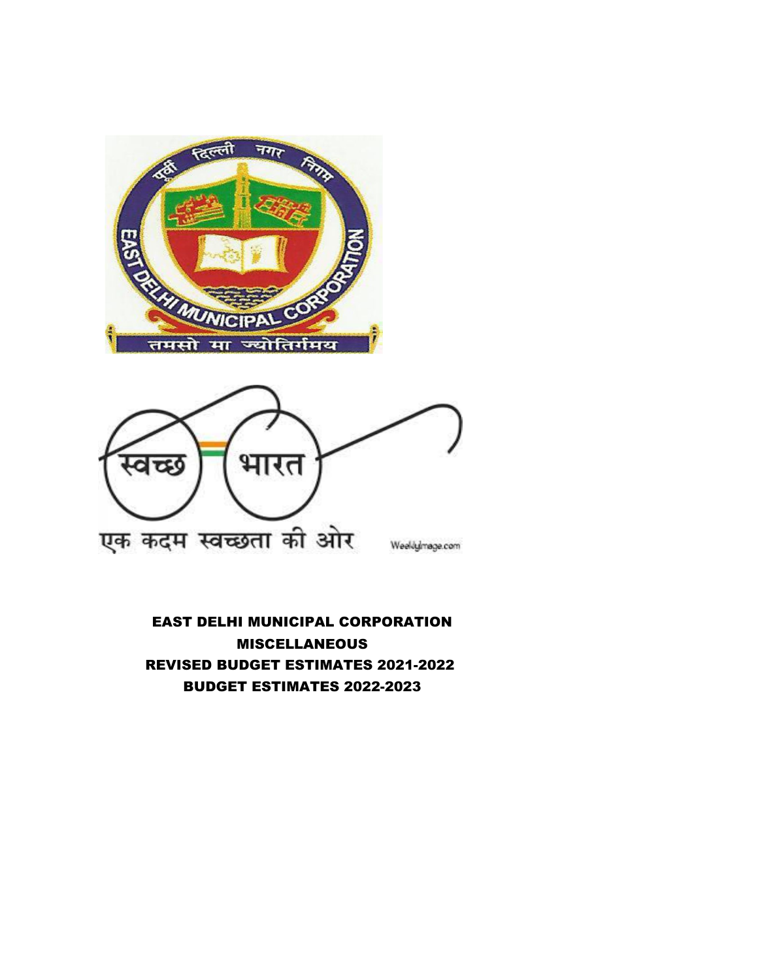



EAST DELHI MUNICIPAL CORPORATION **MISCELLANEOUS** REVISED BUDGET ESTIMATES 2021-2022 BUDGET ESTIMATES 2022-2023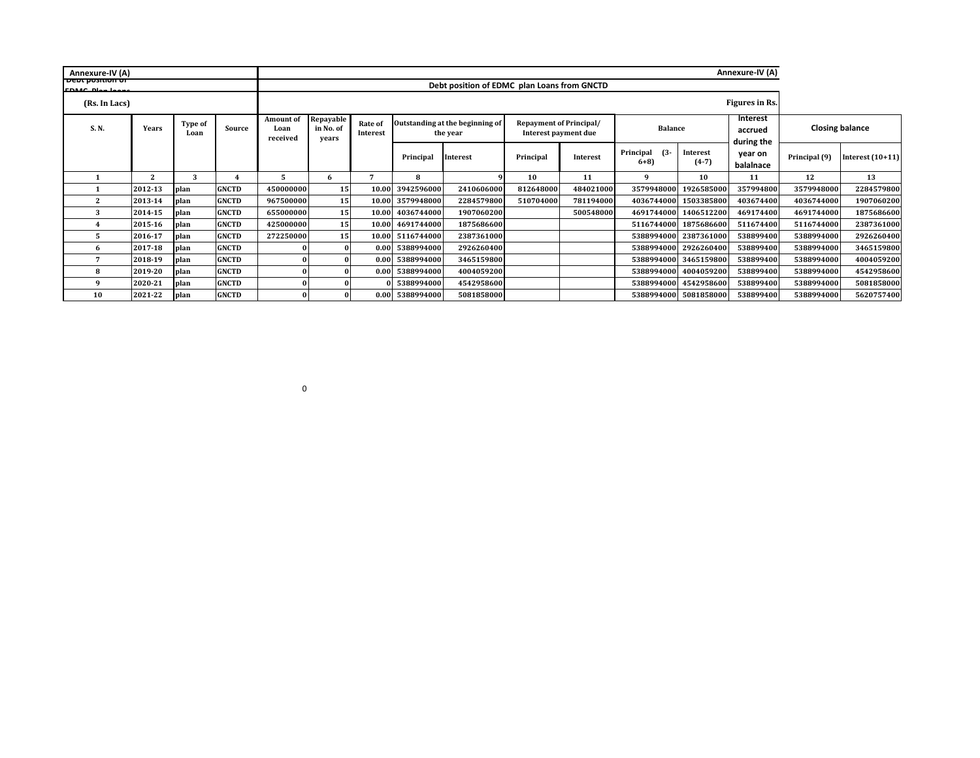| Annexure-IV (A)                                |              |                 |              |                                      |                                             |                     |                  |                                             |                                                        |           |                        |                       | Annexure-IV (A)                          |               |                        |
|------------------------------------------------|--------------|-----------------|--------------|--------------------------------------|---------------------------------------------|---------------------|------------------|---------------------------------------------|--------------------------------------------------------|-----------|------------------------|-----------------------|------------------------------------------|---------------|------------------------|
| <b>PORT PRETHOLD OF</b><br><b>COASS Direct</b> |              |                 |              |                                      | Debt position of EDMC plan Loans from GNCTD |                     |                  |                                             |                                                        |           |                        |                       |                                          |               |                        |
| (Rs. In Lacs)                                  |              |                 |              |                                      |                                             |                     |                  |                                             |                                                        |           |                        |                       | Figures in Rs.                           |               |                        |
| S.N.                                           | Years        | Type of<br>Loan | Source       | <b>Amount of</b><br>Loan<br>received | Repayable<br>in No. of<br>vears             | Rate of<br>Interest |                  | Outstanding at the beginning of<br>the year | <b>Repayment of Principal/</b><br>Interest payment due |           | <b>Balance</b>         |                       | <b>Interest</b><br>accrued<br>during the |               | <b>Closing balance</b> |
|                                                |              |                 |              |                                      |                                             |                     | Principal        | <b>Interest</b>                             | Principal                                              | Interest  | Principal (3-<br>$6+8$ | Interest<br>$(4-7)$   | year on<br>balalnace                     | Principal (9) | Interest $(10+11)$     |
|                                                | $\mathbf{2}$ | 3               |              | 5                                    | 6                                           | $\overline{ }$      | 8                |                                             | 10                                                     | 11        | 9                      | 10                    | 11                                       | 12            | 13                     |
|                                                | 2012-13      | plan            | <b>GNCTD</b> | 450000000                            | 15                                          |                     | 10.00 3942596000 | 2410606000                                  | 812648000                                              | 484021000 | 3579948000             | 1926585000            | 357994800                                | 3579948000    | 2284579800             |
| 2                                              | 2013-14      | plan            | <b>GNCTD</b> | 967500000                            | 15                                          |                     | 10.00 3579948000 | 2284579800                                  | 510704000                                              | 781194000 | 4036744000             | 1503385800            | 403674400                                | 4036744000    | 1907060200             |
| 3                                              | 2014-15      | plan            | <b>GNCTD</b> | 655000000                            | 15                                          |                     | 10.00 4036744000 | 1907060200                                  |                                                        | 500548000 | 4691744000             | 1406512200            | 469174400                                | 4691744000    | 1875686600             |
|                                                | 2015-16      | plan            | <b>GNCTD</b> | 425000000                            | 15                                          |                     | 10.00 4691744000 | 1875686600                                  |                                                        |           | 5116744000             | 1875686600            | 511674400                                | 5116744000    | 2387361000             |
|                                                | 2016-17      | plan            | <b>GNCTD</b> | 272250000                            | 15                                          |                     | 10.00 5116744000 | 2387361000                                  |                                                        |           |                        | 5388994000 2387361000 | 538899400                                | 5388994000    | 2926260400             |
| 6                                              | 2017-18      | plan            | <b>GNCTD</b> |                                      |                                             |                     | 0.00 5388994000  | 2926260400                                  |                                                        |           |                        | 5388994000 2926260400 | 538899400                                | 5388994000    | 3465159800             |
|                                                | 2018-19      | plan            | <b>GNCTD</b> |                                      |                                             | 0.00 <sup>1</sup>   | 5388994000       | 3465159800                                  |                                                        |           | 5388994000             | 3465159800            | 538899400                                | 5388994000    | 4004059200             |
| 8                                              | 2019-20      | plan            | <b>GNCTD</b> |                                      |                                             |                     | 0.00 5388994000  | 4004059200                                  |                                                        |           |                        | 5388994000 4004059200 | 538899400                                | 5388994000    | 4542958600             |
| Q                                              | 2020-21      | plan            | <b>GNCTD</b> |                                      |                                             |                     | 0 5388994000     | 4542958600                                  |                                                        |           | 5388994000             | 4542958600            | 538899400                                | 5388994000    | 5081858000             |
| 10                                             | 2021-22      | plan            | <b>GNCTD</b> |                                      |                                             |                     | 0.00 5388994000  | 5081858000                                  |                                                        |           |                        | 5388994000 5081858000 | 538899400                                | 5388994000    | 5620757400             |

0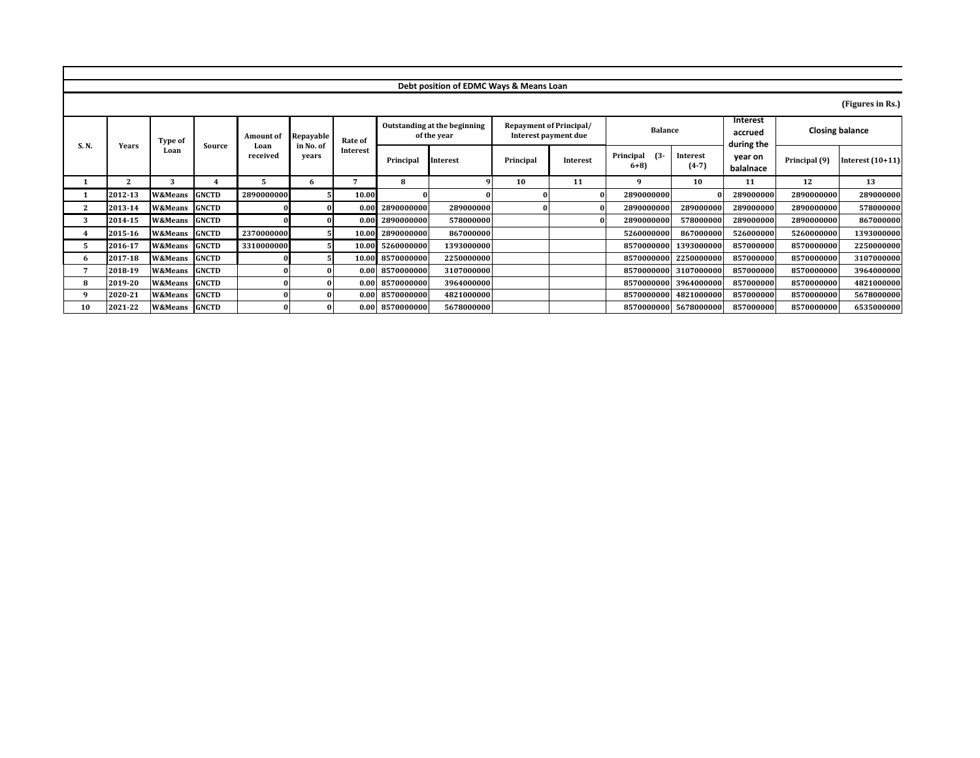|       |                  |                          |              |                          |                        |                     |                  | Debt position of EDMC Ways & Means Loan     |           |                                                        |                              |                       |                                   |               |                        |
|-------|------------------|--------------------------|--------------|--------------------------|------------------------|---------------------|------------------|---------------------------------------------|-----------|--------------------------------------------------------|------------------------------|-----------------------|-----------------------------------|---------------|------------------------|
|       | (Figures in Rs.) |                          |              |                          |                        |                     |                  |                                             |           |                                                        |                              |                       |                                   |               |                        |
| S. N. | Years            | Type of<br>Loan          | Source       | <b>Amount of</b><br>Loan | Repayable<br>in No. of | Rate of<br>Interest |                  | Outstanding at the beginning<br>of the year |           | <b>Repayment of Principal/</b><br>Interest payment due | <b>Balance</b>               |                       | Interest<br>accrued<br>during the |               | <b>Closing balance</b> |
|       |                  |                          |              | received                 | vears                  |                     | Principal        | Interest                                    | Principal | Interest                                               | $(3 -$<br>Principal<br>$6+8$ | Interest<br>$(4-7)$   | year on<br>balalnace              | Principal (9) | Interest $(10+11)$     |
|       | $\mathbf{2}$     | 3                        |              | 5.                       | 6                      |                     | 8                |                                             | 10        | 11                                                     | q                            | 10                    | 11                                | 12            | 13                     |
|       | 2012-13          | W&Means                  | <b>GNCTD</b> | 2890000000               |                        | 10.00               |                  |                                             |           |                                                        | 2890000000                   |                       | 289000000                         | 2890000000    | 289000000              |
| 2     | 2013-14          | W&Means                  | <b>GNCTD</b> |                          |                        | 0.00                | 2890000000       | 289000000                                   |           |                                                        | 2890000000                   | 289000000             | 289000000                         | 2890000000    | 578000000              |
| 3     | 2014-15          | W&Means                  | <b>GNCTD</b> |                          |                        |                     | 0.00 2890000000  | 578000000                                   |           |                                                        | 2890000000                   | 578000000             | 289000000                         | 2890000000    | 867000000              |
| 4     | 2015-16          | W&Means                  | <b>GNCTD</b> | 2370000000               |                        |                     | 10.00 2890000000 | 867000000                                   |           |                                                        | 5260000000                   | 867000000             | 526000000                         | 5260000000    | 1393000000             |
| 5.    | 2016-17          | W&Means                  | <b>GNCTD</b> | 3310000000               |                        |                     | 10.00 5260000000 | 1393000000                                  |           |                                                        | 8570000000                   | 1393000000            | 857000000                         | 8570000000    | 2250000000             |
| 6     | 2017-18          | W&Means                  | <b>GNCTD</b> |                          |                        |                     | 10.00 8570000000 | 2250000000                                  |           |                                                        | 8570000000                   | 2250000000            | 857000000                         | 8570000000    | 3107000000             |
|       | 2018-19          | W&Means                  | <b>GNCTD</b> |                          |                        |                     | 0.00 8570000000  | 3107000000                                  |           |                                                        | 8570000000                   | 3107000000            | 857000000                         | 8570000000    | 3964000000             |
| 8     | 2019-20          | W&Means                  | <b>GNCTD</b> |                          |                        | 0.00                | 8570000000       | 3964000000                                  |           |                                                        | 8570000000                   | 3964000000            | 857000000                         | 8570000000    | 4821000000             |
| 9     | 2020-21          | W&Means                  | <b>GNCTD</b> |                          |                        | $0.00\,$            | 8570000000       | 4821000000                                  |           |                                                        | 8570000000                   | 4821000000            | 857000000                         | 8570000000    | 5678000000             |
| 10    | 2021-22          | <b>W&amp;Means</b> GNCTD |              |                          |                        |                     | 0.00 8570000000  | 5678000000                                  |           |                                                        |                              | 8570000000 5678000000 | 857000000                         | 8570000000    | 6535000000             |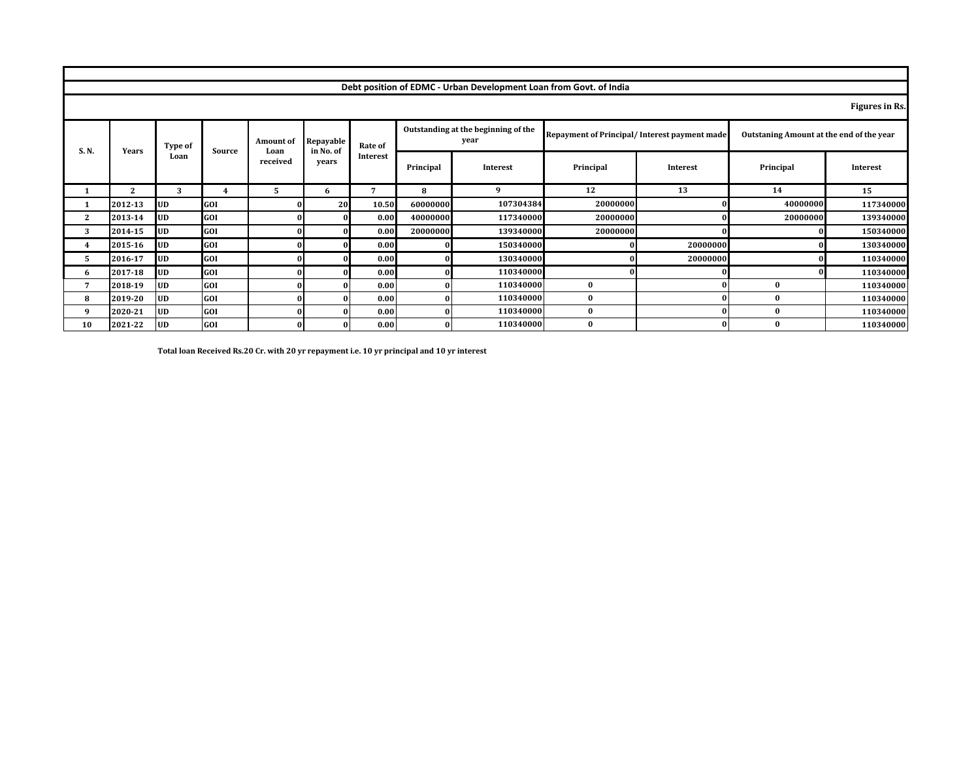|              |                |            |        |    |                          |                        |          | Debt position of EDMC - Urban Development Loan from Govt. of India |                                             |                                              |              |                                          |           |
|--------------|----------------|------------|--------|----|--------------------------|------------------------|----------|--------------------------------------------------------------------|---------------------------------------------|----------------------------------------------|--------------|------------------------------------------|-----------|
|              | Figures in Rs. |            |        |    |                          |                        |          |                                                                    |                                             |                                              |              |                                          |           |
| S.N.         | <b>Years</b>   | Type of    | Source |    | <b>Amount of</b><br>Loan | Repayable<br>in No. of | Rate of  |                                                                    | Outstanding at the beginning of the<br>year | Repayment of Principal/Interest payment made |              | Outstaning Amount at the end of the year |           |
|              |                | Loan       |        |    |                          | received               | vears    | Interest                                                           | Principal                                   | <b>Interest</b>                              | Principal    | Interest                                 | Principal |
|              | $\mathbf{2}$   | 3          | 4      | 5. | 6                        | 7                      | 8        | 9                                                                  | 12                                          | 13                                           | 14           | 15                                       |           |
| 1            | 2012-13        | <b>UD</b>  | GOI    |    | 20                       | 10.50                  | 60000000 | 107304384                                                          | 20000000                                    |                                              | 40000000     | 117340000                                |           |
| $\mathbf{2}$ | 2013-14        | <b>IUD</b> | GOI    |    |                          | 0.00                   | 40000000 | 117340000                                                          | 20000000                                    |                                              | 20000000     | 139340000                                |           |
| 3            | 2014-15        | <b>UD</b>  | GOI    |    |                          | 0.00                   | 20000000 | 139340000                                                          | 20000000                                    |                                              |              | 150340000                                |           |
| 4            | 2015-16        | <b>UD</b>  | GOI    |    |                          | 0.00                   |          | 150340000                                                          |                                             | 20000000                                     |              | 130340000                                |           |
| 5            | 2016-17        | <b>UD</b>  | GOI    |    |                          | 0.00                   |          | 130340000                                                          |                                             | 20000000                                     | 01           | 110340000                                |           |
| 6            | 2017-18        | UD         | GOI    |    |                          | 0.00                   |          | 110340000                                                          |                                             |                                              |              | 110340000                                |           |
| 7            | 2018-19        | <b>UD</b>  | GOI    |    |                          | 0.00                   |          | 110340000                                                          | $\bf{0}$                                    |                                              | $\bf{0}$     | 110340000                                |           |
| 8            | 2019-20        | <b>UD</b>  | GOI    |    |                          | 0.00                   |          | 110340000                                                          | $\bf{0}$                                    |                                              | $\mathbf{0}$ | 110340000                                |           |
| 9            | 2020-21        | <b>UD</b>  | GOI    |    |                          | 0.00                   |          | 110340000                                                          | $\bf{0}$                                    |                                              | $\mathbf{0}$ | 110340000                                |           |
| 10           | 2021-22        | <b>UD</b>  | GOI    |    |                          | 0.00                   |          | 110340000                                                          | $\mathbf{0}$                                |                                              | $\Omega$     | 110340000                                |           |

**Total loan Received Rs.20 Cr. with 20 yr repayment i.e. 10 yr principal and 10 yr interest**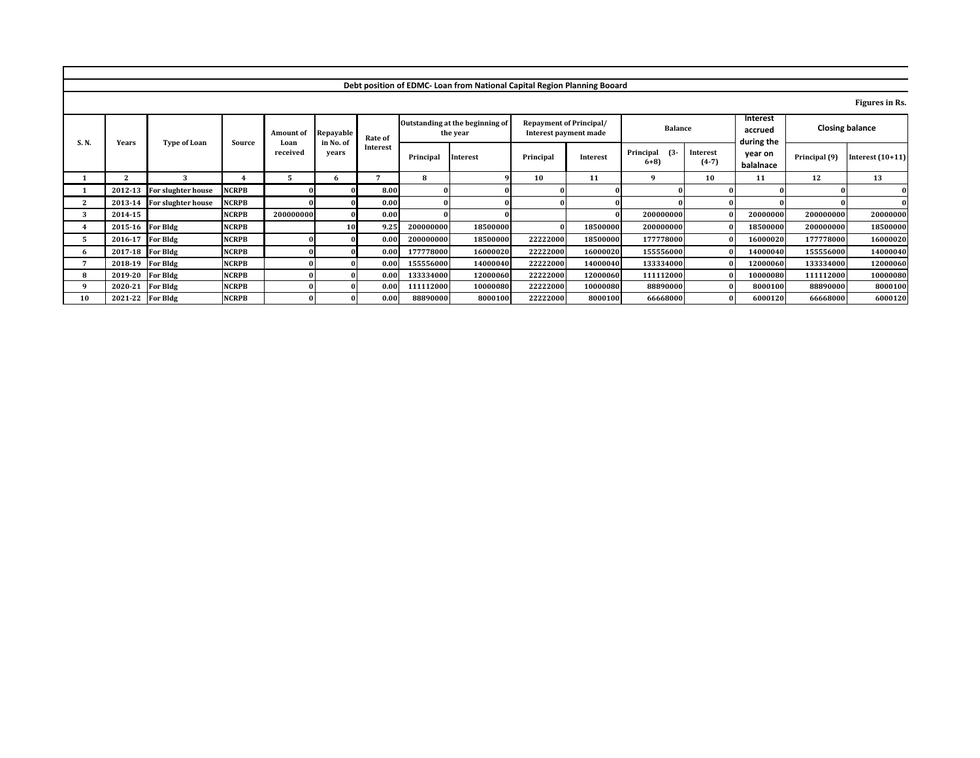| Figures in Rs.         |               |                                   |                            |                              |          |                                                         |                                             |           |                     |                    |                          |              |                            |                  |              |
|------------------------|---------------|-----------------------------------|----------------------------|------------------------------|----------|---------------------------------------------------------|---------------------------------------------|-----------|---------------------|--------------------|--------------------------|--------------|----------------------------|------------------|--------------|
| <b>Closing balance</b> |               | Interest<br>accrued<br>during the |                            | <b>Balance</b>               |          | <b>Repayment of Principal/</b><br>Interest payment made | Outstanding at the beginning of<br>the year |           | Rate of<br>Interest | Repayable          | <b>Amount of</b><br>Loan | Source       | <b>Type of Loan</b>        |                  | <b>S.N.</b>  |
| Interest $(10+11)$     | Principal (9) | year on<br>balalnace              | <b>Interest</b><br>$(4-7)$ | Principal<br>$(3 -$<br>$6+8$ | Interest | Principal                                               | <b>Interest</b>                             | Principal |                     | in No. of<br>vears | received                 |              |                            | <b>Years</b>     |              |
| 13                     | 12            | 11                                | 10                         | q                            | 11       | 10                                                      |                                             | 8         | 7                   |                    |                          |              | 2                          | $\mathbf{a}$     |              |
|                        |               |                                   |                            |                              |          |                                                         |                                             |           | 8.00                |                    | $\Omega$                 | <b>NCRPB</b> | For slughter house         | 2012-13          |              |
|                        |               |                                   |                            |                              |          |                                                         |                                             |           | 0.00                |                    |                          | <b>NCRPB</b> | 2013-14 For slughter house |                  | $\mathbf{2}$ |
| 20000000               | 200000000     | 20000000                          |                            | 200000000                    |          |                                                         |                                             |           | 0.00                |                    | 200000000                | <b>NCRPB</b> |                            | 2014-15          | 3            |
| 18500000               | 200000000     | 18500000                          |                            | 200000000                    | 18500000 |                                                         | 18500000                                    | 200000000 | 9.25                | 10                 |                          | <b>NCRPB</b> |                            | 2015-16 For Bldg |              |
| 16000020               | 177778000     | 16000020                          |                            | 177778000                    | 18500000 | 22222000                                                | 18500000                                    | 200000000 | 0.00                |                    |                          | <b>NCRPB</b> |                            | 2016-17 For Bldg |              |
| 14000040               | 155556000     | 14000040                          |                            | 155556000                    | 16000020 | 22222000                                                | 16000020                                    | 177778000 | 0.00                |                    |                          | <b>NCRPB</b> | <b>For Bldg</b>            | 2017-18          | 6            |
| 12000060               | 133334000     | 12000060                          |                            | 133334000                    | 14000040 | 22222000                                                | 14000040                                    | 155556000 | 0.00                |                    |                          | <b>NCRPB</b> | For Bldg                   | 2018-19          |              |
| 10000080               | 111112000     | 10000080                          |                            | 111112000                    | 12000060 | 22222000                                                | 12000060                                    | 133334000 | 0.00                |                    |                          | <b>NCRPB</b> | For Bldg                   | 2019-20          | 8            |
| 8000100                | 88890000      | 8000100                           |                            | 88890000                     | 10000080 | 22222000                                                | 10000080                                    | 111112000 | 0.00                |                    |                          | <b>NCRPB</b> | For Bldg                   | 2020-21          | $\alpha$     |
| 6000120                | 66668000      | 6000120                           |                            | 66668000                     | 8000100  | 22222000                                                | 8000100                                     | 88890000  | 0.00                | Ω                  |                          | <b>NCRPB</b> |                            | 2021-22 For Bldg | 10           |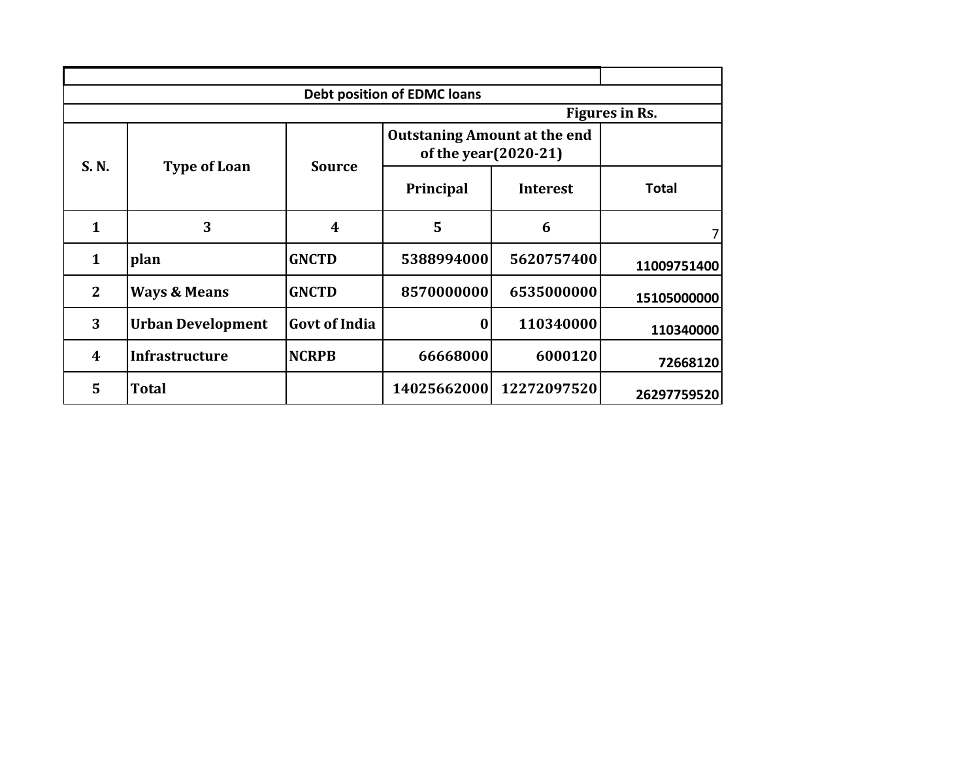|              |                          |                      | <b>Debt position of EDMC loans</b>                          |                 |                |
|--------------|--------------------------|----------------------|-------------------------------------------------------------|-----------------|----------------|
|              |                          |                      |                                                             |                 | Figures in Rs. |
| S. N.        | <b>Type of Loan</b>      | <b>Source</b>        | <b>Outstaning Amount at the end</b><br>of the year(2020-21) |                 |                |
|              |                          |                      | Principal                                                   | <b>Interest</b> | Total          |
| 1            | 3                        | $\boldsymbol{4}$     | 5                                                           | 6               | 7              |
| 1            | plan                     | <b>GNCTD</b>         | 5388994000                                                  | 5620757400      | 11009751400    |
| $\mathbf{2}$ | <b>Ways &amp; Means</b>  | <b>GNCTD</b>         | 8570000000                                                  | 6535000000      | 15105000000    |
| 3            | <b>Urban Development</b> | <b>Govt of India</b> | $\bf{0}$                                                    | 110340000       | 110340000      |
| 4            | <b>Infrastructure</b>    | <b>NCRPB</b>         | 66668000                                                    | 6000120         | 72668120       |
| 5            | <b>Total</b>             |                      | 14025662000                                                 | 12272097520     | 26297759520    |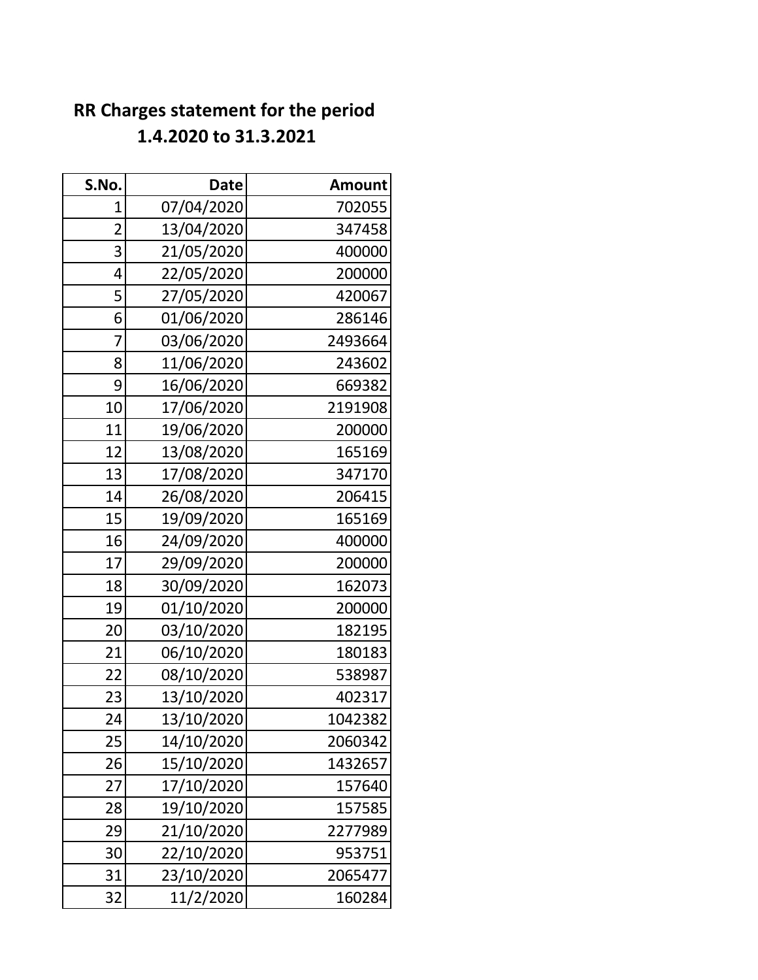### **RR Charges statement for the period 1.4.2020 to 31.3.2021**

| S.No.          | <b>Date</b> | <b>Amount</b> |
|----------------|-------------|---------------|
| 1              | 07/04/2020  | 702055        |
| $\overline{2}$ | 13/04/2020  | 347458        |
| 3              | 21/05/2020  | 400000        |
| 4              | 22/05/2020  | 200000        |
| 5              | 27/05/2020  | 420067        |
| 6              | 01/06/2020  | 286146        |
| 7              | 03/06/2020  | 2493664       |
| 8              | 11/06/2020  | 243602        |
| 9              | 16/06/2020  | 669382        |
| 10             | 17/06/2020  | 2191908       |
| 11             | 19/06/2020  | 200000        |
| 12             | 13/08/2020  | 165169        |
| 13             | 17/08/2020  | 347170        |
| 14             | 26/08/2020  | 206415        |
| 15             | 19/09/2020  | 165169        |
| 16             | 24/09/2020  | 400000        |
| 17             | 29/09/2020  | 200000        |
| 18             | 30/09/2020  | 162073        |
| 19             | 01/10/2020  | 200000        |
| 20             | 03/10/2020  | 182195        |
| 21             | 06/10/2020  | 180183        |
| 22             | 08/10/2020  | 538987        |
| 23             | 13/10/2020  | 402317        |
| 24             | 13/10/2020  | 1042382       |
| 25             | 14/10/2020  | 2060342       |
| 26             | 15/10/2020  | 1432657       |
| 27             | 17/10/2020  | 157640        |
| 28             | 19/10/2020  | 157585        |
| 29             | 21/10/2020  | 2277989       |
| 30             | 22/10/2020  | 953751        |
| 31             | 23/10/2020  | 2065477       |
| 32             | 11/2/2020   | 160284        |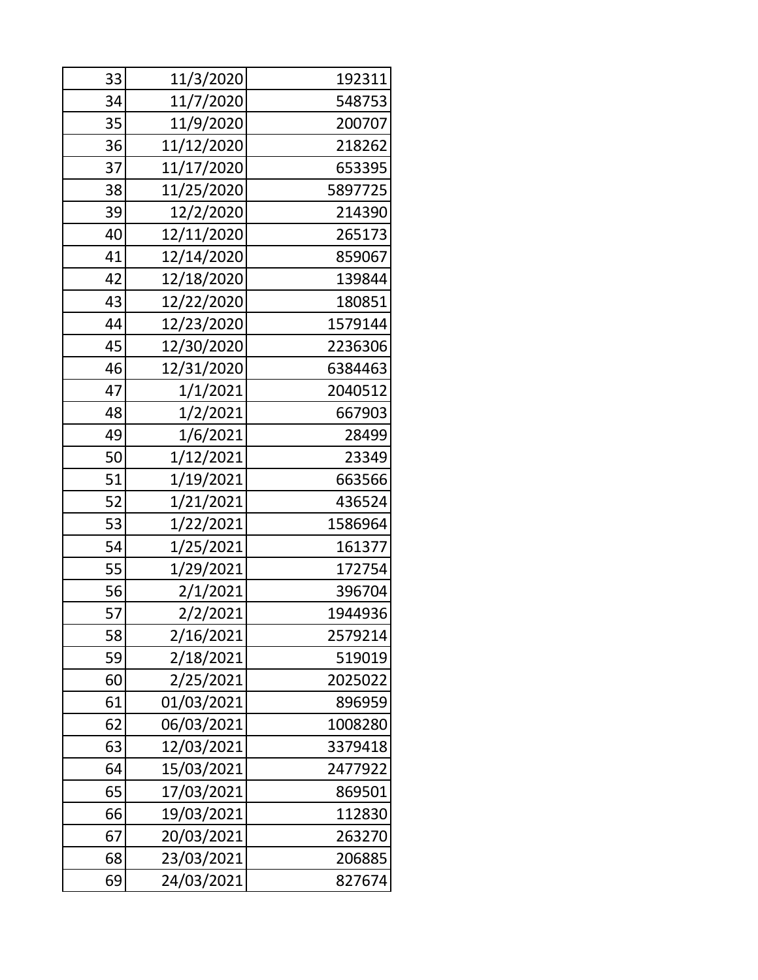| 33 | 11/3/2020  | 192311  |
|----|------------|---------|
| 34 | 11/7/2020  | 548753  |
| 35 | 11/9/2020  | 200707  |
| 36 | 11/12/2020 | 218262  |
| 37 | 11/17/2020 | 653395  |
| 38 | 11/25/2020 | 5897725 |
| 39 | 12/2/2020  | 214390  |
| 40 | 12/11/2020 | 265173  |
| 41 | 12/14/2020 | 859067  |
| 42 | 12/18/2020 | 139844  |
| 43 | 12/22/2020 | 180851  |
| 44 | 12/23/2020 | 1579144 |
| 45 | 12/30/2020 | 2236306 |
| 46 | 12/31/2020 | 6384463 |
| 47 | 1/1/2021   | 2040512 |
| 48 | 1/2/2021   | 667903  |
| 49 | 1/6/2021   | 28499   |
| 50 | 1/12/2021  | 23349   |
| 51 | 1/19/2021  | 663566  |
| 52 | 1/21/2021  | 436524  |
| 53 | 1/22/2021  | 1586964 |
| 54 | 1/25/2021  | 161377  |
| 55 | 1/29/2021  | 172754  |
| 56 | 2/1/2021   | 396704  |
| 57 | 2/2/2021   | 1944936 |
| 58 | 2/16/2021  | 2579214 |
| 59 | 2/18/2021  | 519019  |
| 60 | 2/25/2021  | 2025022 |
| 61 | 01/03/2021 | 896959  |
| 62 | 06/03/2021 | 1008280 |
| 63 | 12/03/2021 | 3379418 |
| 64 | 15/03/2021 | 2477922 |
| 65 | 17/03/2021 | 869501  |
| 66 | 19/03/2021 | 112830  |
| 67 | 20/03/2021 | 263270  |
| 68 | 23/03/2021 | 206885  |
| 69 | 24/03/2021 | 827674  |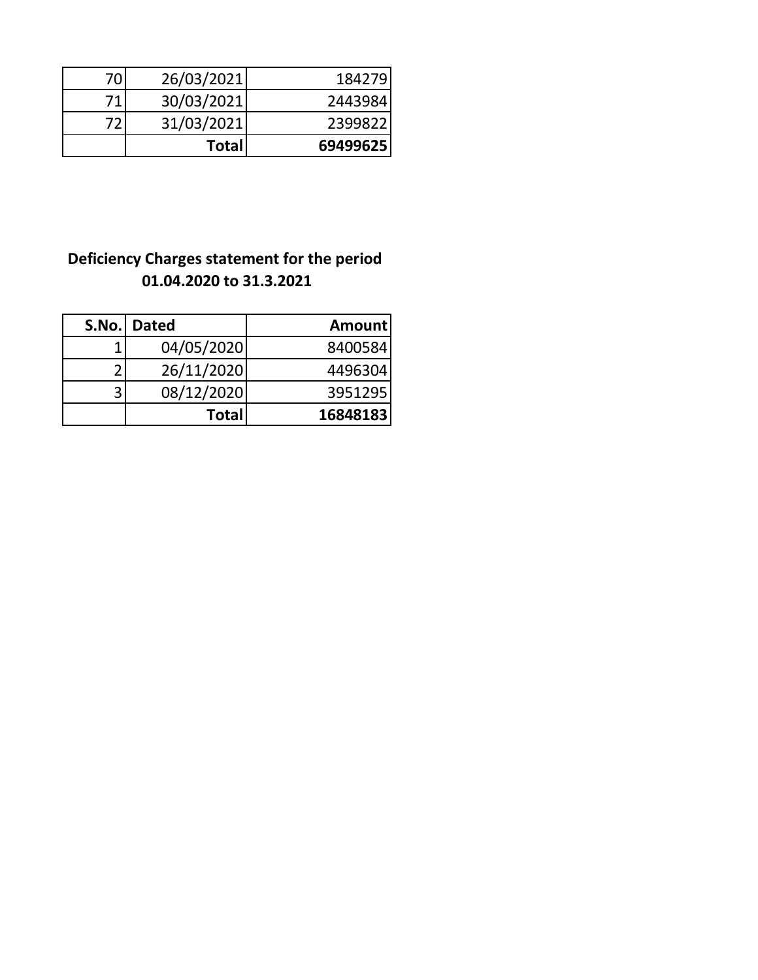| 70 | 26/03/2021   | 184279   |
|----|--------------|----------|
| 71 | 30/03/2021   | 2443984  |
| 72 | 31/03/2021   | 2399822  |
|    | <b>Total</b> | 69499625 |

#### **Deficiency Charges statement for the period 01.04.2020 to 31.3.2021**

|   | S.No. Dated  | <b>Amount</b> |
|---|--------------|---------------|
| ◀ | 04/05/2020   | 8400584       |
|   | 26/11/2020   | 4496304       |
| ੨ | 08/12/2020   | 3951295       |
|   | <b>Total</b> | 16848183      |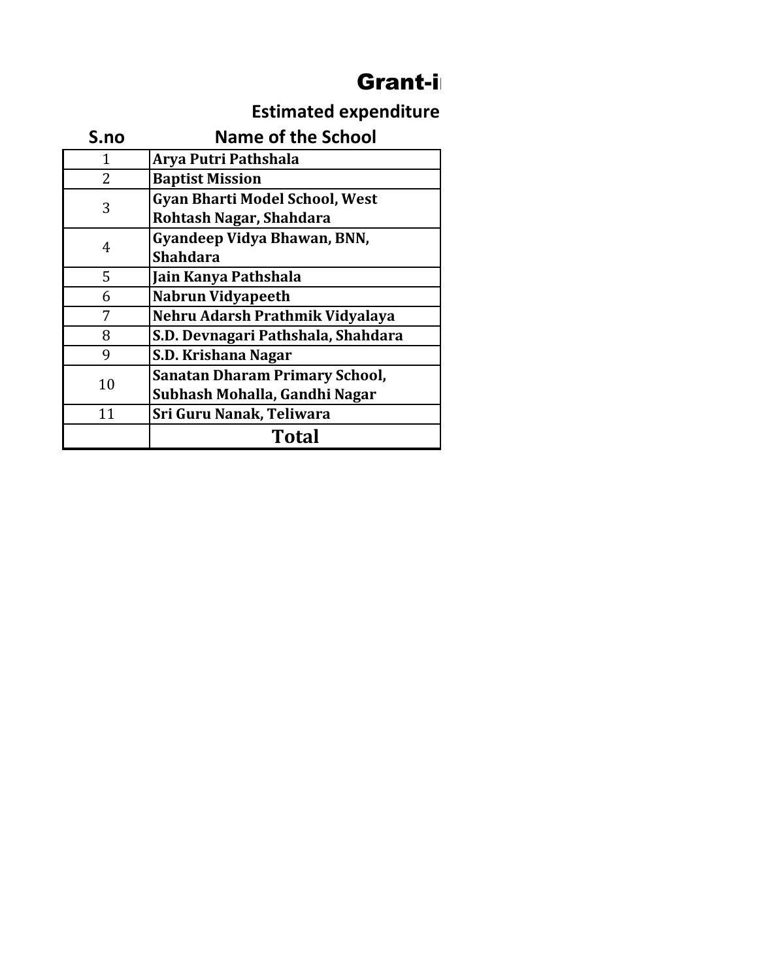## Grant-in

## **Estimated expenditure**

| S.no | <b>Name of the School</b>             |  |  |  |  |
|------|---------------------------------------|--|--|--|--|
| 1    | Arya Putri Pathshala                  |  |  |  |  |
| 2    | <b>Baptist Mission</b>                |  |  |  |  |
| 3    | <b>Gyan Bharti Model School, West</b> |  |  |  |  |
|      | Rohtash Nagar, Shahdara               |  |  |  |  |
| 4    | Gyandeep Vidya Bhawan, BNN,           |  |  |  |  |
|      | <b>Shahdara</b>                       |  |  |  |  |
| 5    | Jain Kanya Pathshala                  |  |  |  |  |
| 6    | <b>Nabrun Vidyapeeth</b>              |  |  |  |  |
|      | Nehru Adarsh Prathmik Vidyalaya       |  |  |  |  |
| 8    | S.D. Devnagari Pathshala, Shahdara    |  |  |  |  |
| 9    | S.D. Krishana Nagar                   |  |  |  |  |
| 10   | <b>Sanatan Dharam Primary School,</b> |  |  |  |  |
|      | Subhash Mohalla, Gandhi Nagar         |  |  |  |  |
| 11   | Sri Guru Nanak, Teliwara              |  |  |  |  |
|      | Total                                 |  |  |  |  |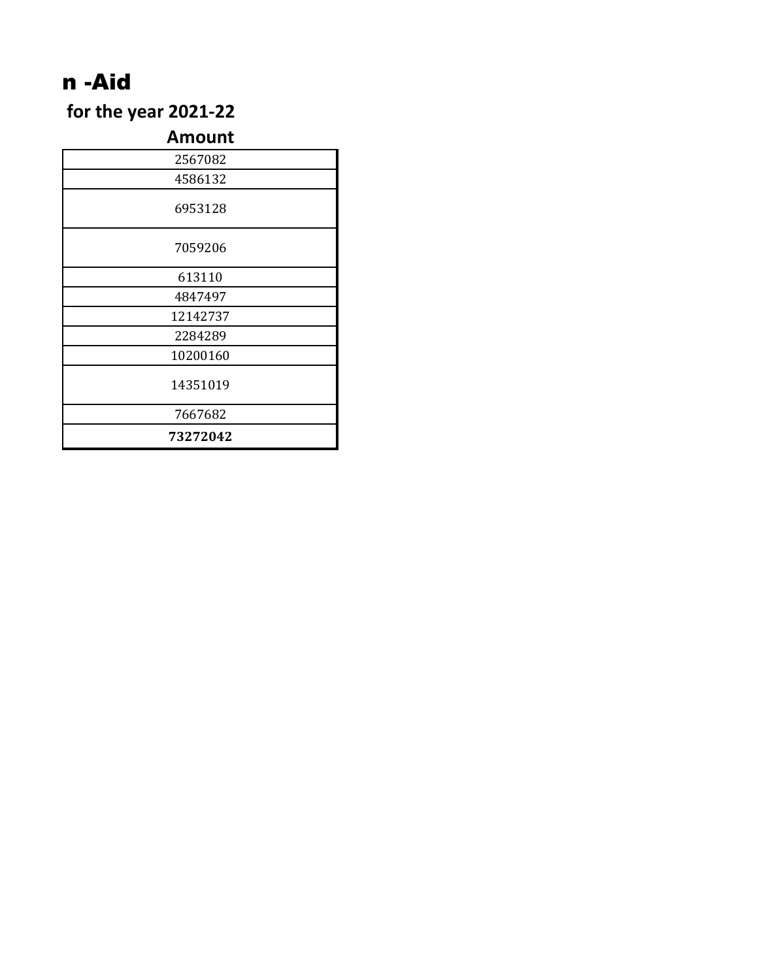# n -Aid

for the year 2021-22

#### **Amount**

| 2567082  |  |
|----------|--|
| 4586132  |  |
| 6953128  |  |
| 7059206  |  |
| 613110   |  |
| 4847497  |  |
| 12142737 |  |
| 2284289  |  |
| 10200160 |  |
| 14351019 |  |
| 7667682  |  |
| 73272042 |  |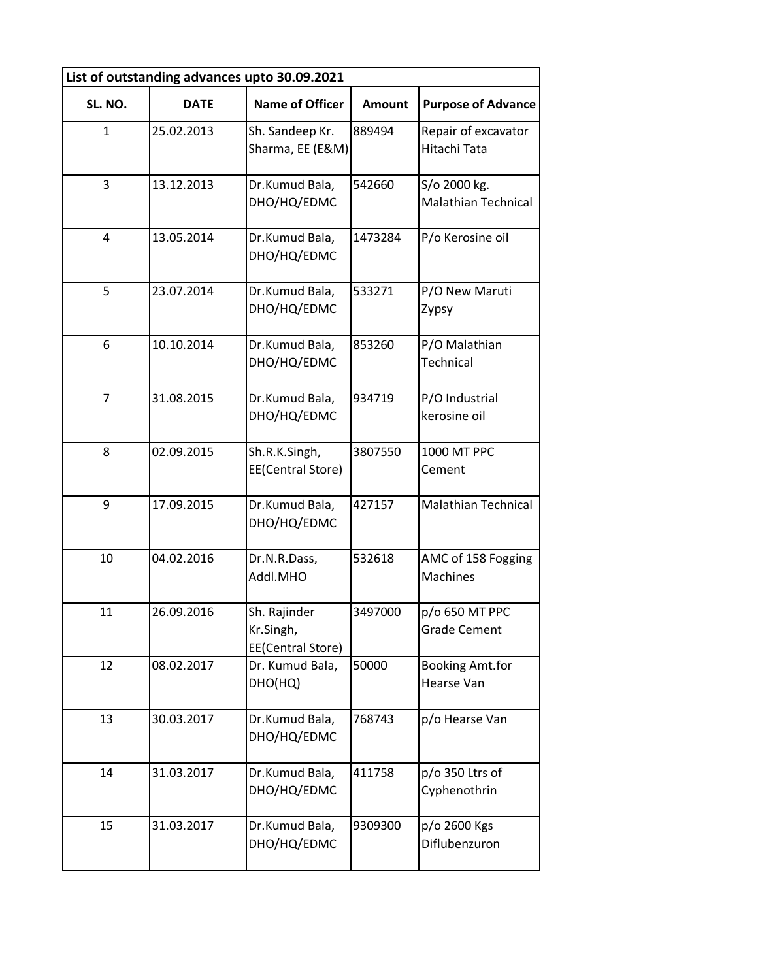| List of outstanding advances upto 30.09.2021 |             |                                                |               |                                            |  |  |  |  |  |  |  |
|----------------------------------------------|-------------|------------------------------------------------|---------------|--------------------------------------------|--|--|--|--|--|--|--|
| SL. NO.                                      | <b>DATE</b> | <b>Name of Officer</b>                         | <b>Amount</b> | <b>Purpose of Advance</b>                  |  |  |  |  |  |  |  |
| $\mathbf{1}$                                 | 25.02.2013  | Sh. Sandeep Kr.<br>Sharma, EE (E&M)            | 889494        | Repair of excavator<br>Hitachi Tata        |  |  |  |  |  |  |  |
| 3                                            | 13.12.2013  | Dr.Kumud Bala,<br>DHO/HQ/EDMC                  | 542660        | S/o 2000 kg.<br><b>Malathian Technical</b> |  |  |  |  |  |  |  |
| $\overline{4}$                               | 13.05.2014  | Dr.Kumud Bala,<br>DHO/HQ/EDMC                  | 1473284       | P/o Kerosine oil                           |  |  |  |  |  |  |  |
| 5                                            | 23.07.2014  | Dr.Kumud Bala,<br>DHO/HQ/EDMC                  | 533271        | P/O New Maruti<br>Zypsy                    |  |  |  |  |  |  |  |
| 6                                            | 10.10.2014  | Dr.Kumud Bala,<br>DHO/HQ/EDMC                  | 853260        | P/O Malathian<br>Technical                 |  |  |  |  |  |  |  |
| $\overline{7}$                               | 31.08.2015  | Dr.Kumud Bala,<br>DHO/HQ/EDMC                  | 934719        | P/O Industrial<br>kerosine oil             |  |  |  |  |  |  |  |
| 8                                            | 02.09.2015  | Sh.R.K.Singh,<br>EE(Central Store)             | 3807550       | 1000 MT PPC<br>Cement                      |  |  |  |  |  |  |  |
| 9                                            | 17.09.2015  | Dr.Kumud Bala,<br>DHO/HQ/EDMC                  | 427157        | Malathian Technical                        |  |  |  |  |  |  |  |
| 10                                           | 04.02.2016  | Dr.N.R.Dass,<br>Addl.MHO                       | 532618        | AMC of 158 Fogging<br><b>Machines</b>      |  |  |  |  |  |  |  |
| 11                                           | 26.09.2016  | Sh. Rajinder<br>Kr.Singh,<br>EE(Central Store) | 3497000       | p/o 650 MT PPC<br><b>Grade Cement</b>      |  |  |  |  |  |  |  |
| 12                                           | 08.02.2017  | Dr. Kumud Bala,<br>DHO(HQ)                     | 50000         | <b>Booking Amt.for</b><br>Hearse Van       |  |  |  |  |  |  |  |
| 13                                           | 30.03.2017  | Dr.Kumud Bala,<br>DHO/HQ/EDMC                  | 768743        | p/o Hearse Van                             |  |  |  |  |  |  |  |
| 14                                           | 31.03.2017  | Dr.Kumud Bala,<br>DHO/HQ/EDMC                  | 411758        | p/o 350 Ltrs of<br>Cyphenothrin            |  |  |  |  |  |  |  |
| 15                                           | 31.03.2017  | Dr.Kumud Bala,<br>DHO/HQ/EDMC                  | 9309300       | p/o 2600 Kgs<br>Diflubenzuron              |  |  |  |  |  |  |  |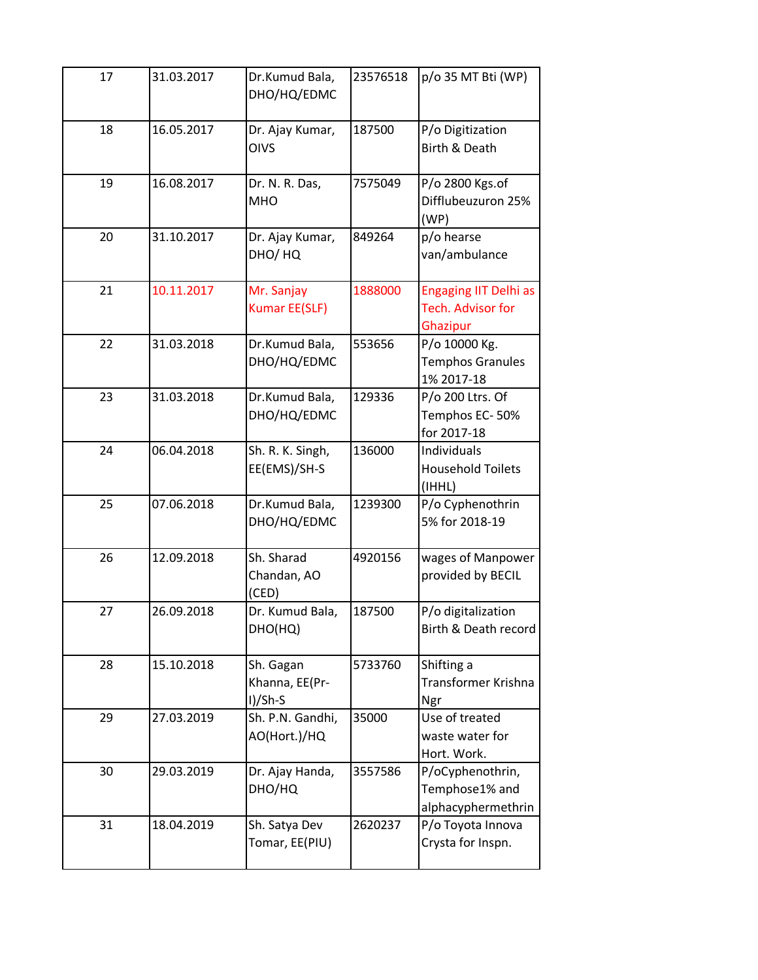| 17 | 31.03.2017 | Dr.Kumud Bala,<br>DHO/HQ/EDMC            | 23576518 | p/o 35 MT Bti (WP)                                            |
|----|------------|------------------------------------------|----------|---------------------------------------------------------------|
| 18 | 16.05.2017 | Dr. Ajay Kumar,<br><b>OIVS</b>           | 187500   | P/o Digitization<br>Birth & Death                             |
| 19 | 16.08.2017 | Dr. N. R. Das,<br><b>MHO</b>             | 7575049  | P/o 2800 Kgs.of<br>Difflubeuzuron 25%<br>(WP)                 |
| 20 | 31.10.2017 | Dr. Ajay Kumar,<br>DHO/HQ                | 849264   | p/o hearse<br>van/ambulance                                   |
| 21 | 10.11.2017 | Mr. Sanjay<br><b>Kumar EE(SLF)</b>       | 1888000  | <b>Engaging IIT Delhi as</b><br>Tech. Advisor for<br>Ghazipur |
| 22 | 31.03.2018 | Dr.Kumud Bala,<br>DHO/HQ/EDMC            | 553656   | P/o 10000 Kg.<br><b>Temphos Granules</b><br>1% 2017-18        |
| 23 | 31.03.2018 | Dr.Kumud Bala,<br>DHO/HQ/EDMC            | 129336   | P/o 200 Ltrs. Of<br>Temphos EC-50%<br>for 2017-18             |
| 24 | 06.04.2018 | Sh. R. K. Singh,<br>EE(EMS)/SH-S         | 136000   | Individuals<br><b>Household Toilets</b><br>(IHHL)             |
| 25 | 07.06.2018 | Dr.Kumud Bala,<br>DHO/HQ/EDMC            | 1239300  | P/o Cyphenothrin<br>5% for 2018-19                            |
| 26 | 12.09.2018 | Sh. Sharad<br>Chandan, AO<br>(CED)       | 4920156  | wages of Manpower<br>provided by BECIL                        |
| 27 | 26.09.2018 | Dr. Kumud Bala,<br>DHO(HQ)               | 187500   | P/o digitalization<br>Birth & Death record                    |
| 28 | 15.10.2018 | Sh. Gagan<br>Khanna, EE(Pr-<br>$I)/Sh-S$ | 5733760  | Shifting a<br>Transformer Krishna<br>Ngr                      |
| 29 | 27.03.2019 | Sh. P.N. Gandhi,<br>AO(Hort.)/HQ         | 35000    | Use of treated<br>waste water for<br>Hort. Work.              |
| 30 | 29.03.2019 | Dr. Ajay Handa,<br>DHO/HQ                | 3557586  | P/oCyphenothrin,<br>Temphose1% and<br>alphacyphermethrin      |
| 31 | 18.04.2019 | Sh. Satya Dev<br>Tomar, EE(PIU)          | 2620237  | P/o Toyota Innova<br>Crysta for Inspn.                        |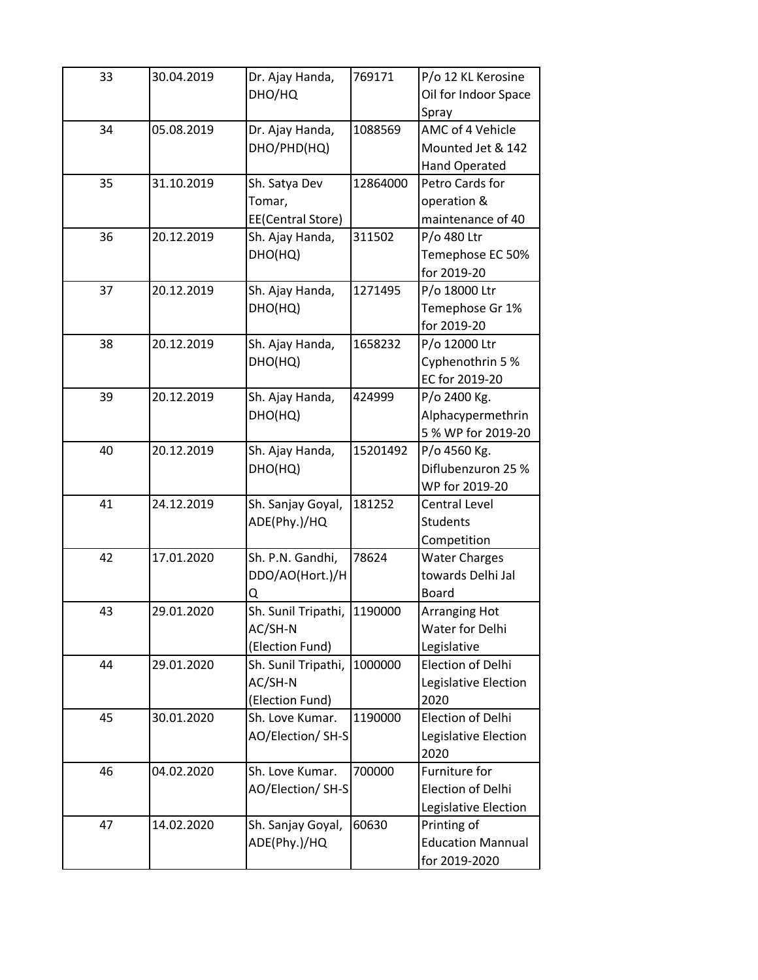| 33 | 30.04.2019 | Dr. Ajay Handa,<br>DHO/HQ | 769171   | P/o 12 KL Kerosine<br>Oil for Indoor Space |
|----|------------|---------------------------|----------|--------------------------------------------|
| 34 | 05.08.2019 | Dr. Ajay Handa,           | 1088569  | Spray<br>AMC of 4 Vehicle                  |
|    |            | DHO/PHD(HQ)               |          | Mounted Jet & 142                          |
|    |            |                           |          |                                            |
| 35 | 31.10.2019 |                           | 12864000 | Hand Operated<br>Petro Cards for           |
|    |            | Sh. Satya Dev             |          |                                            |
|    |            | Tomar,                    |          | operation &                                |
|    |            | EE(Central Store)         | 311502   | maintenance of 40                          |
| 36 | 20.12.2019 | Sh. Ajay Handa,           |          | P/o 480 Ltr                                |
|    |            | DHO(HQ)                   |          | Temephose EC 50%                           |
|    |            |                           |          | for 2019-20                                |
| 37 | 20.12.2019 | Sh. Ajay Handa,           | 1271495  | P/o 18000 Ltr                              |
|    |            | DHO(HQ)                   |          | Temephose Gr 1%                            |
|    |            |                           |          | for 2019-20                                |
| 38 | 20.12.2019 | Sh. Ajay Handa,           | 1658232  | P/o 12000 Ltr                              |
|    |            | DHO(HQ)                   |          | Cyphenothrin 5 %                           |
|    |            |                           |          | EC for 2019-20                             |
| 39 | 20.12.2019 | Sh. Ajay Handa,           | 424999   | P/o 2400 Kg.                               |
|    |            | DHO(HQ)                   |          | Alphacypermethrin                          |
|    |            |                           |          | 5 % WP for 2019-20                         |
| 40 | 20.12.2019 | Sh. Ajay Handa,           | 15201492 | P/o 4560 Kg.                               |
|    |            | DHO(HQ)                   |          | Diflubenzuron 25 %                         |
|    |            |                           |          | WP for 2019-20                             |
| 41 | 24.12.2019 | Sh. Sanjay Goyal,         | 181252   | <b>Central Level</b>                       |
|    |            | ADE(Phy.)/HQ              |          | <b>Students</b>                            |
|    |            |                           |          | Competition                                |
| 42 | 17.01.2020 | Sh. P.N. Gandhi,          | 78624    | <b>Water Charges</b>                       |
|    |            | DDO/AO(Hort.)/H           |          | towards Delhi Jal                          |
|    |            | Q                         |          | Board                                      |
| 43 | 29.01.2020 | Sh. Sunil Tripathi,       | 1190000  | <b>Arranging Hot</b>                       |
|    |            | AC/SH-N                   |          | Water for Delhi                            |
|    |            | (Election Fund)           |          | Legislative                                |
| 44 | 29.01.2020 | Sh. Sunil Tripathi,       | 1000000  | Election of Delhi                          |
|    |            | AC/SH-N                   |          | Legislative Election                       |
|    |            | (Election Fund)           |          | 2020                                       |
| 45 | 30.01.2020 | Sh. Love Kumar.           | 1190000  | Election of Delhi                          |
|    |            | AO/Election/ SH-S         |          | Legislative Election                       |
|    |            |                           |          | 2020                                       |
| 46 | 04.02.2020 | Sh. Love Kumar.           | 700000   | Furniture for                              |
|    |            | AO/Election/ SH-S         |          | Election of Delhi                          |
|    |            |                           |          | Legislative Election                       |
| 47 | 14.02.2020 | Sh. Sanjay Goyal,         | 60630    | Printing of                                |
|    |            | ADE(Phy.)/HQ              |          | <b>Education Mannual</b>                   |
|    |            |                           |          | for 2019-2020                              |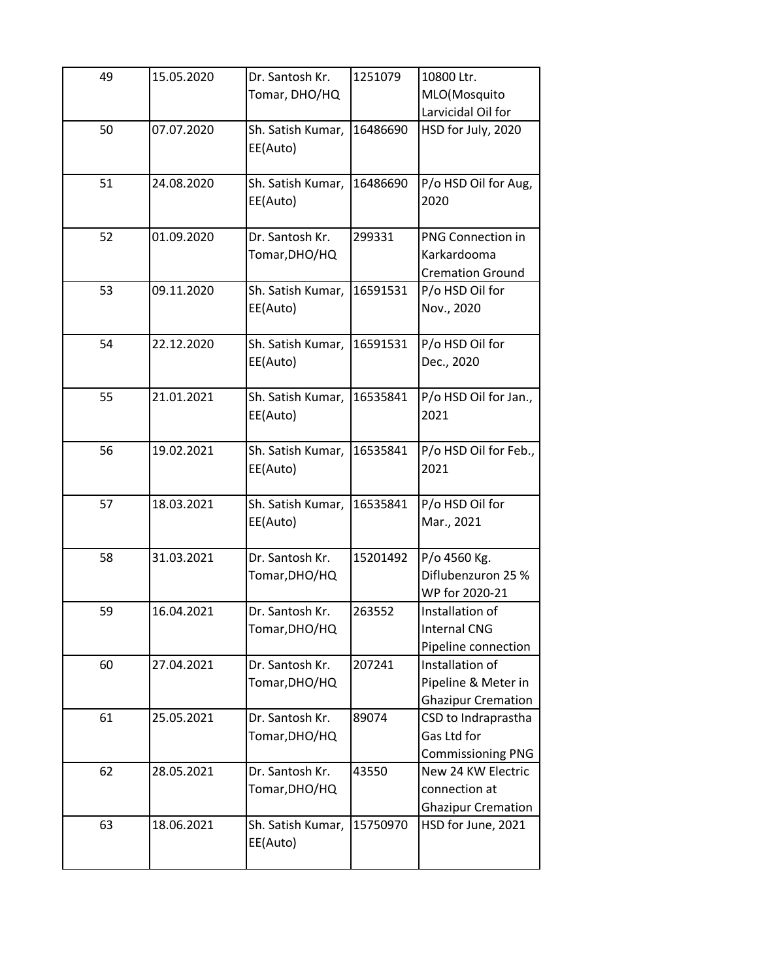| 49 | 15.05.2020 | Dr. Santosh Kr.<br>Tomar, DHO/HQ | 1251079  | 10800 Ltr.<br>MLO(Mosquito<br>Larvicidal Oil for                    |
|----|------------|----------------------------------|----------|---------------------------------------------------------------------|
| 50 | 07.07.2020 | Sh. Satish Kumar,<br>EE(Auto)    | 16486690 | HSD for July, 2020                                                  |
| 51 | 24.08.2020 | Sh. Satish Kumar,<br>EE(Auto)    | 16486690 | P/o HSD Oil for Aug,<br>2020                                        |
| 52 | 01.09.2020 | Dr. Santosh Kr.<br>Tomar, DHO/HQ | 299331   | <b>PNG Connection in</b><br>Karkardooma<br><b>Cremation Ground</b>  |
| 53 | 09.11.2020 | Sh. Satish Kumar,<br>EE(Auto)    | 16591531 | P/o HSD Oil for<br>Nov., 2020                                       |
| 54 | 22.12.2020 | Sh. Satish Kumar,<br>EE(Auto)    | 16591531 | P/o HSD Oil for<br>Dec., 2020                                       |
| 55 | 21.01.2021 | Sh. Satish Kumar,<br>EE(Auto)    | 16535841 | P/o HSD Oil for Jan.,<br>2021                                       |
| 56 | 19.02.2021 | Sh. Satish Kumar,<br>EE(Auto)    | 16535841 | P/o HSD Oil for Feb.,<br>2021                                       |
| 57 | 18.03.2021 | Sh. Satish Kumar,<br>EE(Auto)    | 16535841 | P/o HSD Oil for<br>Mar., 2021                                       |
| 58 | 31.03.2021 | Dr. Santosh Kr.<br>Tomar, DHO/HQ | 15201492 | P/o 4560 Kg.<br>Diflubenzuron 25 %<br>WP for 2020-21                |
| 59 | 16.04.2021 | Dr. Santosh Kr.<br>Tomar, DHO/HQ | 263552   | Installation of<br><b>Internal CNG</b><br>Pipeline connection       |
| 60 | 27.04.2021 | Dr. Santosh Kr.<br>Tomar, DHO/HQ | 207241   | Installation of<br>Pipeline & Meter in<br><b>Ghazipur Cremation</b> |
| 61 | 25.05.2021 | Dr. Santosh Kr.<br>Tomar,DHO/HQ  | 89074    | CSD to Indraprastha<br>Gas Ltd for<br><b>Commissioning PNG</b>      |
| 62 | 28.05.2021 | Dr. Santosh Kr.<br>Tomar, DHO/HQ | 43550    | New 24 KW Electric<br>connection at<br><b>Ghazipur Cremation</b>    |
| 63 | 18.06.2021 | Sh. Satish Kumar,<br>EE(Auto)    | 15750970 | HSD for June, 2021                                                  |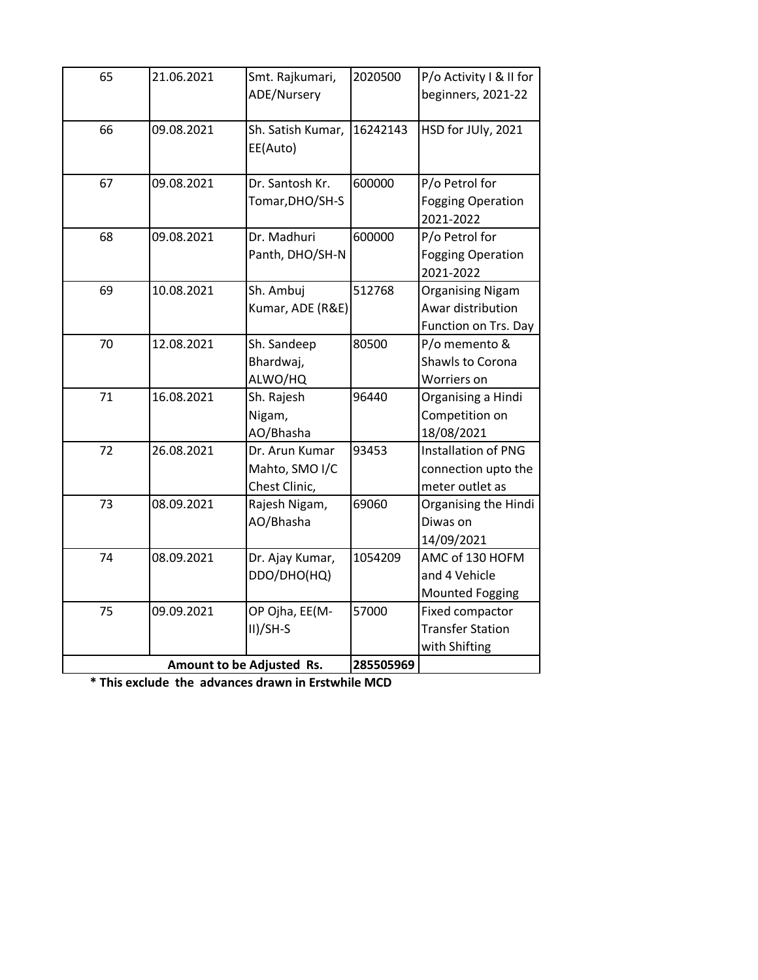| 65                        | 21.06.2021 | Smt. Rajkumari,   | 2020500   | P/o Activity I & II for    |
|---------------------------|------------|-------------------|-----------|----------------------------|
|                           |            | ADE/Nursery       |           | beginners, 2021-22         |
|                           |            |                   |           |                            |
| 66                        | 09.08.2021 | Sh. Satish Kumar, | 16242143  | HSD for JUly, 2021         |
|                           |            | EE(Auto)          |           |                            |
|                           |            |                   |           |                            |
| 67                        | 09.08.2021 | Dr. Santosh Kr.   | 600000    | P/o Petrol for             |
|                           |            | Tomar, DHO/SH-S   |           | <b>Fogging Operation</b>   |
|                           |            |                   |           | 2021-2022                  |
| 68                        | 09.08.2021 | Dr. Madhuri       | 600000    | P/o Petrol for             |
|                           |            | Panth, DHO/SH-N   |           | <b>Fogging Operation</b>   |
|                           |            |                   |           | 2021-2022                  |
| 69                        | 10.08.2021 | Sh. Ambuj         | 512768    | <b>Organising Nigam</b>    |
|                           |            | Kumar, ADE (R&E)  |           | Awar distribution          |
|                           |            |                   |           | Function on Trs. Day       |
| 70                        | 12.08.2021 | Sh. Sandeep       | 80500     | P/o memento &              |
|                           |            | Bhardwaj,         |           | Shawls to Corona           |
|                           |            | ALWO/HQ           |           | Worriers on                |
| 71                        | 16.08.2021 | Sh. Rajesh        | 96440     | Organising a Hindi         |
|                           |            | Nigam,            |           | Competition on             |
|                           |            | AO/Bhasha         |           | 18/08/2021                 |
| 72                        | 26.08.2021 | Dr. Arun Kumar    | 93453     | <b>Installation of PNG</b> |
|                           |            | Mahto, SMO I/C    |           | connection upto the        |
|                           |            | Chest Clinic,     |           | meter outlet as            |
| 73                        | 08.09.2021 | Rajesh Nigam,     | 69060     | Organising the Hindi       |
|                           |            | AO/Bhasha         |           | Diwas on                   |
|                           |            |                   |           | 14/09/2021                 |
| 74                        | 08.09.2021 | Dr. Ajay Kumar,   | 1054209   | AMC of 130 HOFM            |
|                           |            | DDO/DHO(HQ)       |           | and 4 Vehicle              |
|                           |            |                   |           | <b>Mounted Fogging</b>     |
| 75                        | 09.09.2021 | OP Ojha, EE(M-    | 57000     | Fixed compactor            |
|                           |            | $II)/SH-S$        |           | <b>Transfer Station</b>    |
|                           |            |                   |           | with Shifting              |
| Amount to be Adjusted Rs. |            |                   | 285505969 |                            |

**\* This exclude the advances drawn in Erstwhile MCD**